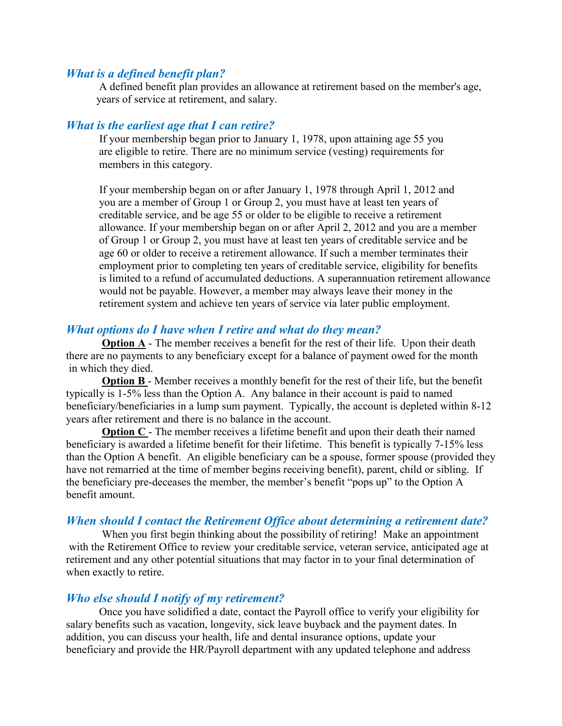### *What is a defined benefit plan?*

 A defined benefit plan provides an allowance at retirement based on the member's age, years of service at retirement, and salary.

### *What is the earliest age that I can retire?*

 If your membership began prior to January 1, 1978, upon attaining age 55 you are eligible to retire. There are no minimum service (vesting) requirements for members in this category.

 If your membership began on or after January 1, 1978 through April 1, 2012 and you are a member of Group 1 or Group 2, you must have at least ten years of creditable service, and be age 55 or older to be eligible to receive a retirement allowance. If your membership began on or after April 2, 2012 and you are a member of Group 1 or Group 2, you must have at least ten years of creditable service and be age 60 or older to receive a retirement allowance. If such a member terminates their employment prior to completing ten years of creditable service, eligibility for benefits is limited to a refund of accumulated deductions. A superannuation retirement allowance would not be payable. However, a member may always leave their money in the retirement system and achieve ten years of service via later public employment.

#### *What options do I have when I retire and what do they mean?*

**Option A** - The member receives a benefit for the rest of their life. Upon their death there are no payments to any beneficiary except for a balance of payment owed for the month in which they died.

**Option B** - Member receives a monthly benefit for the rest of their life, but the benefit typically is 1-5% less than the Option A. Any balance in their account is paid to named beneficiary/beneficiaries in a lump sum payment. Typically, the account is depleted within 8-12 years after retirement and there is no balance in the account.

**Option C** - The member receives a lifetime benefit and upon their death their named beneficiary is awarded a lifetime benefit for their lifetime. This benefit is typically 7-15% less than the Option A benefit. An eligible beneficiary can be a spouse, former spouse (provided they have not remarried at the time of member begins receiving benefit), parent, child or sibling. If the beneficiary pre-deceases the member, the member's benefit "pops up" to the Option A benefit amount.

# *When should I contact the Retirement Office about determining a retirement date?*

When you first begin thinking about the possibility of retiring! Make an appointment with the Retirement Office to review your creditable service, veteran service, anticipated age at retirement and any other potential situations that may factor in to your final determination of when exactly to retire.

#### *Who else should I notify of my retirement?*

 Once you have solidified a date, contact the Payroll office to verify your eligibility for salary benefits such as vacation, longevity, sick leave buyback and the payment dates. In addition, you can discuss your health, life and dental insurance options, update your beneficiary and provide the HR/Payroll department with any updated telephone and address